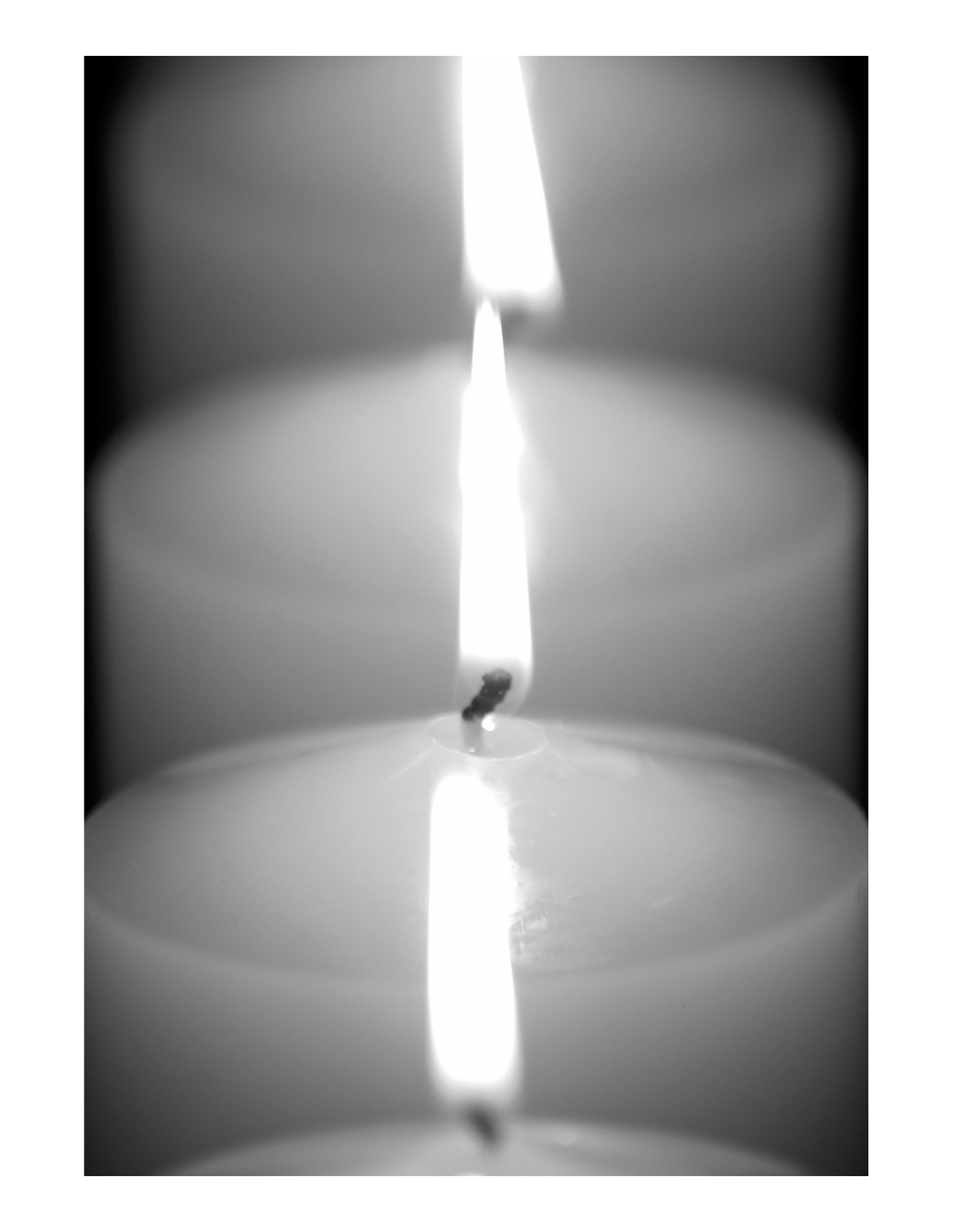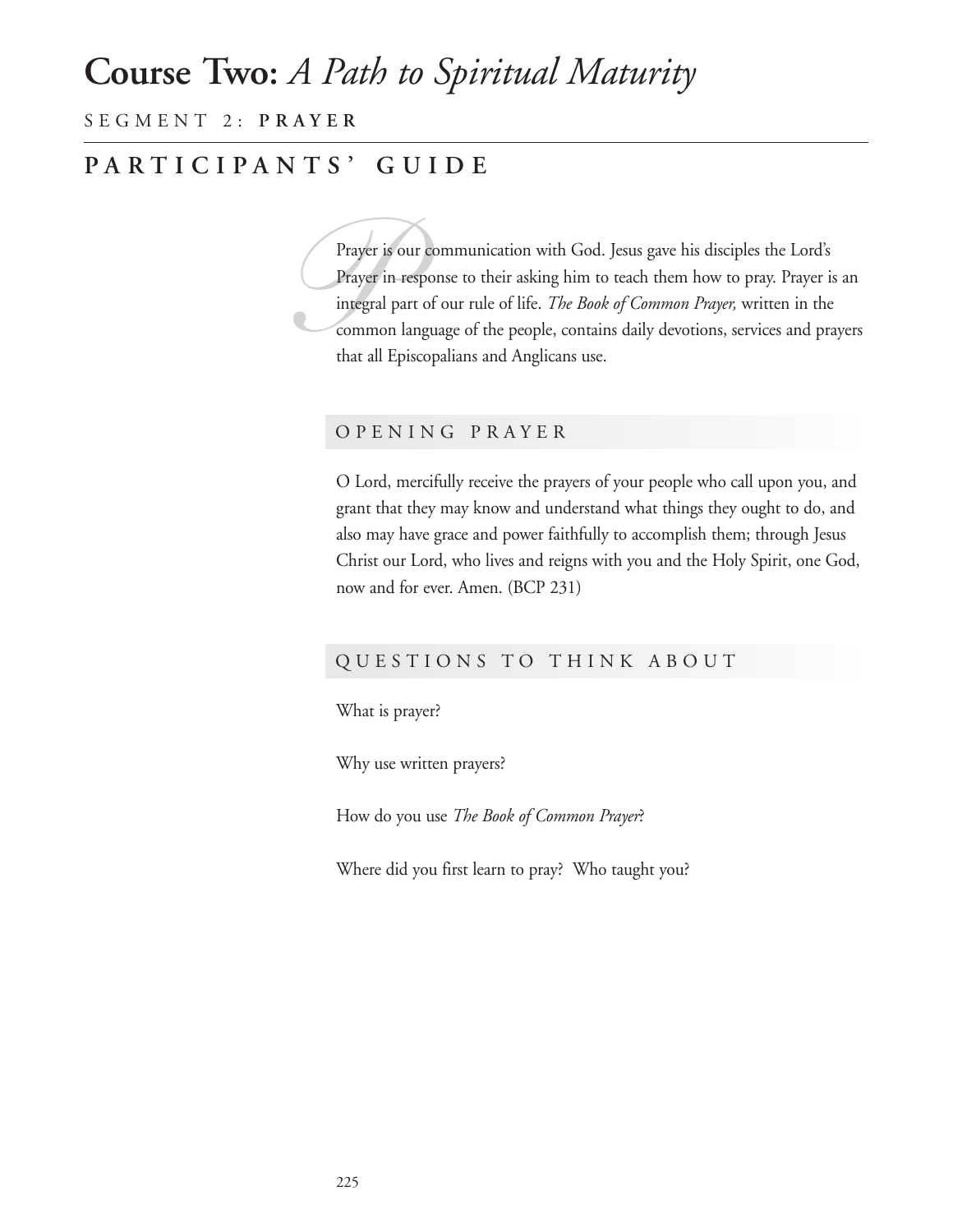# **Course Two:** *A Path to Spiritual Maturity*

## SEGMENT 2: **PRAYER**

## **P A R TICIPANTS' GUIDE**

Prayer is our communication with God. Jesus gave his disciples the Lord's<br>Prayer in response to their asking him to teach them how to pray. Prayer is<br>integral part of our rule of life. *The Book of Common Prayer*, written Prayer in response to their asking him to teach them how to pray. Prayer is an integral part of our rule of life. *The Book of Common Prayer,* written in the common language of the people, contains daily devotions, services and prayers that all Episcopalians and Anglicans use.

### OPENING PRAYER

O Lord, mercifully receive the prayers of your people who call upon you, and grant that they may know and understand what things they ought to do, and also may have grace and power faithfully to accomplish them; through Jesus Christ our Lord, who lives and reigns with you and the Holy Spirit, one God, now and for ever. Amen. (BCP 231)

## Q UESTIONS TO THINK ABOUT

What is prayer?

Why use written prayers?

How do you use *The Book of Common Prayer*?

Where did you first learn to pray? Who taught you?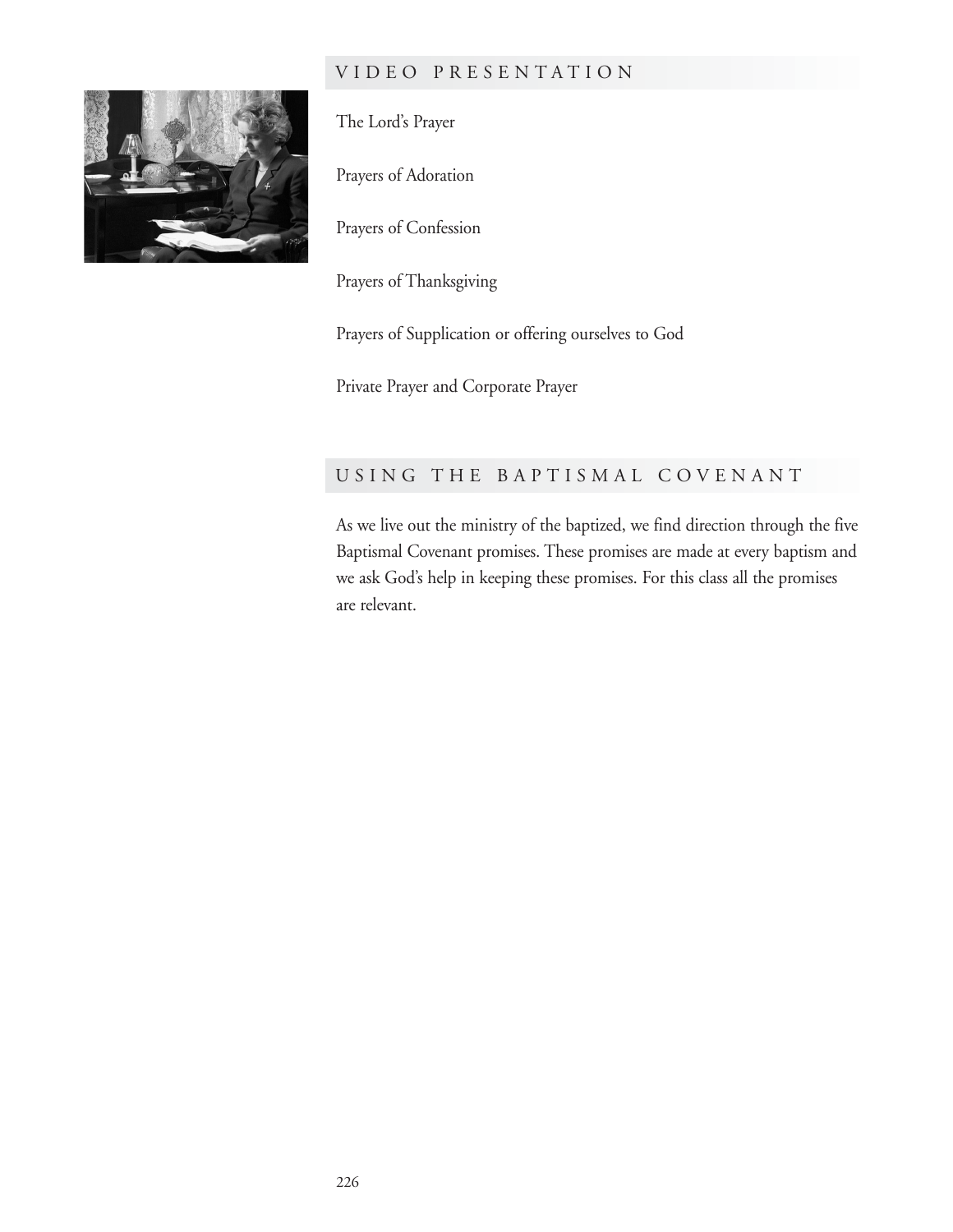## VIDEO PRESENTATION



The Lord's Prayer

Prayers of Adoration

Prayers of Confession

Prayers of Thanksgiving

Prayers of Supplication or offering ourselves to God

Private Prayer and Corporate Prayer

## USING THE BAPTISMAL COVENANT

As we live out the ministry of the baptized, we find direction through the five Baptismal Covenant promises. These promises are made at every baptism and we ask God's help in keeping these promises. For this class all the promises are relevant.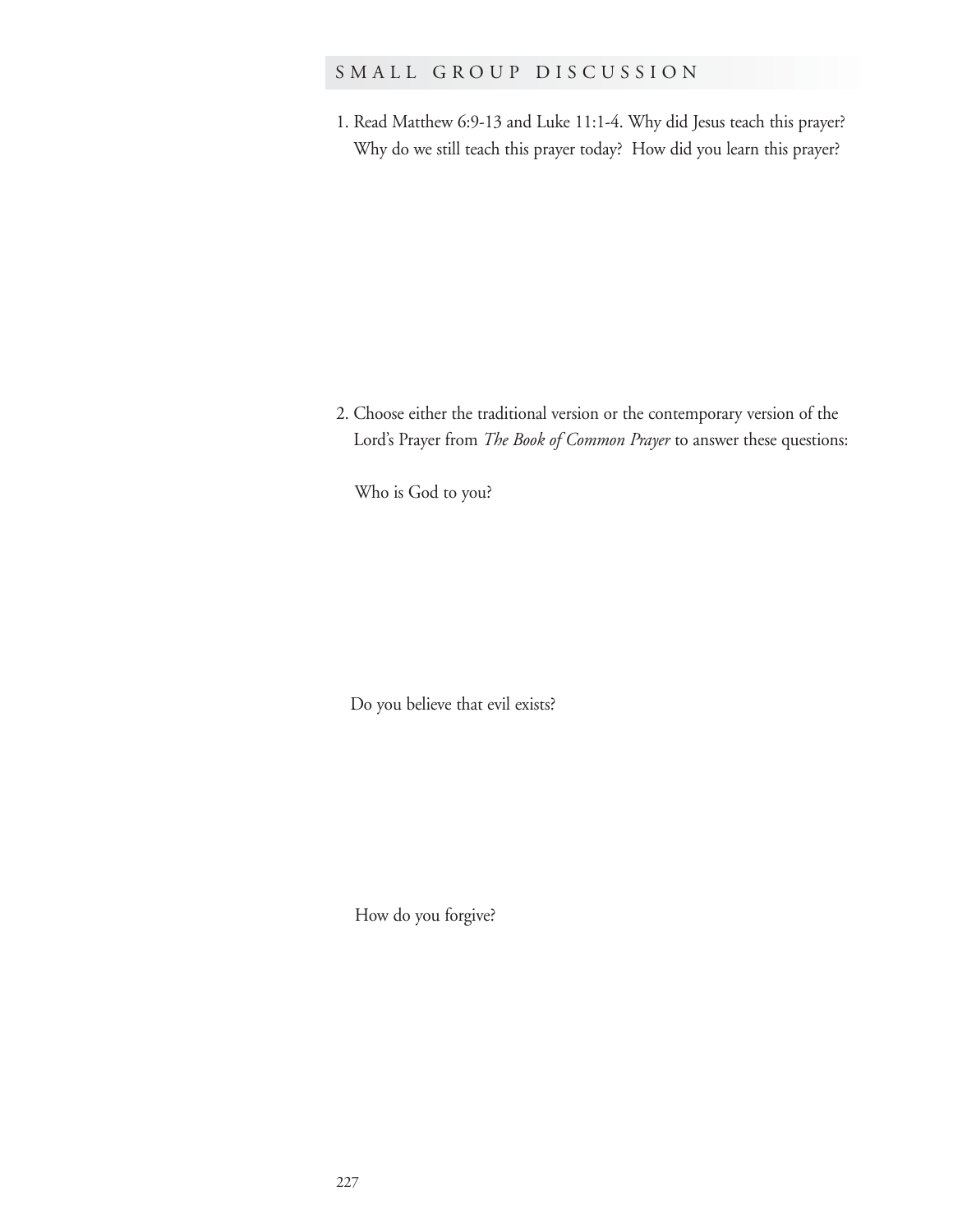## SMALL GROUP DISCUSSION

1. Read Matthew 6:9-13 and Luke 11:1-4. Why did Jesus teach this prayer? Why do we still teach this prayer today? How did you learn this prayer?

2. Choose either the traditional version or the contemporary version of the Lord's Prayer from *The Book of Common Prayer* to answer these questions:

Who is God to you?

Do you believe that evil exists?

How do you forgive?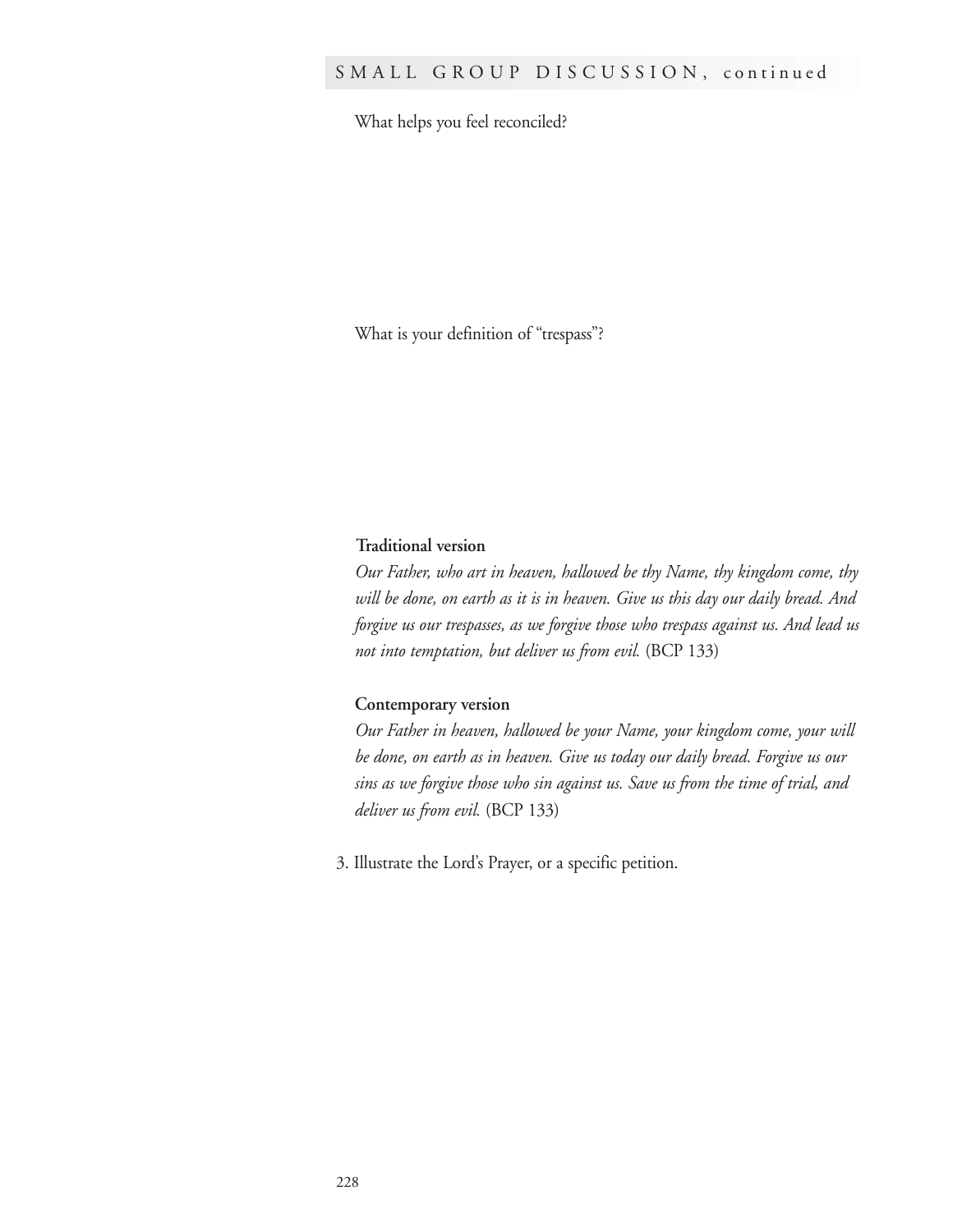## SMALL GROUP DISCUSSION, continued

What helps you feel reconciled?

What is your definition of "trespass"?

#### **Traditional version**

*Our Father, who art in heaven, hallowed be thy Name, thy kingdom come, thy will be done, on earth as it is in heaven. Give us this day our daily bread. And forgive us our trespasses, as we forgive those who trespass against us. And lead us not into temptation, but deliver us from evil.* (BCP 133)

#### **Contemporary version**

*Our Father in heaven, hallowed be your Name, your kingdom come, your will be done, on earth as in heaven. Give us today our daily bread. Forgive us our sins as we forgive those who sin against us. Save us from the time of trial, and deliver us from evil.* (BCP 133)

3. Illustrate the Lord's Prayer, or a specific petition.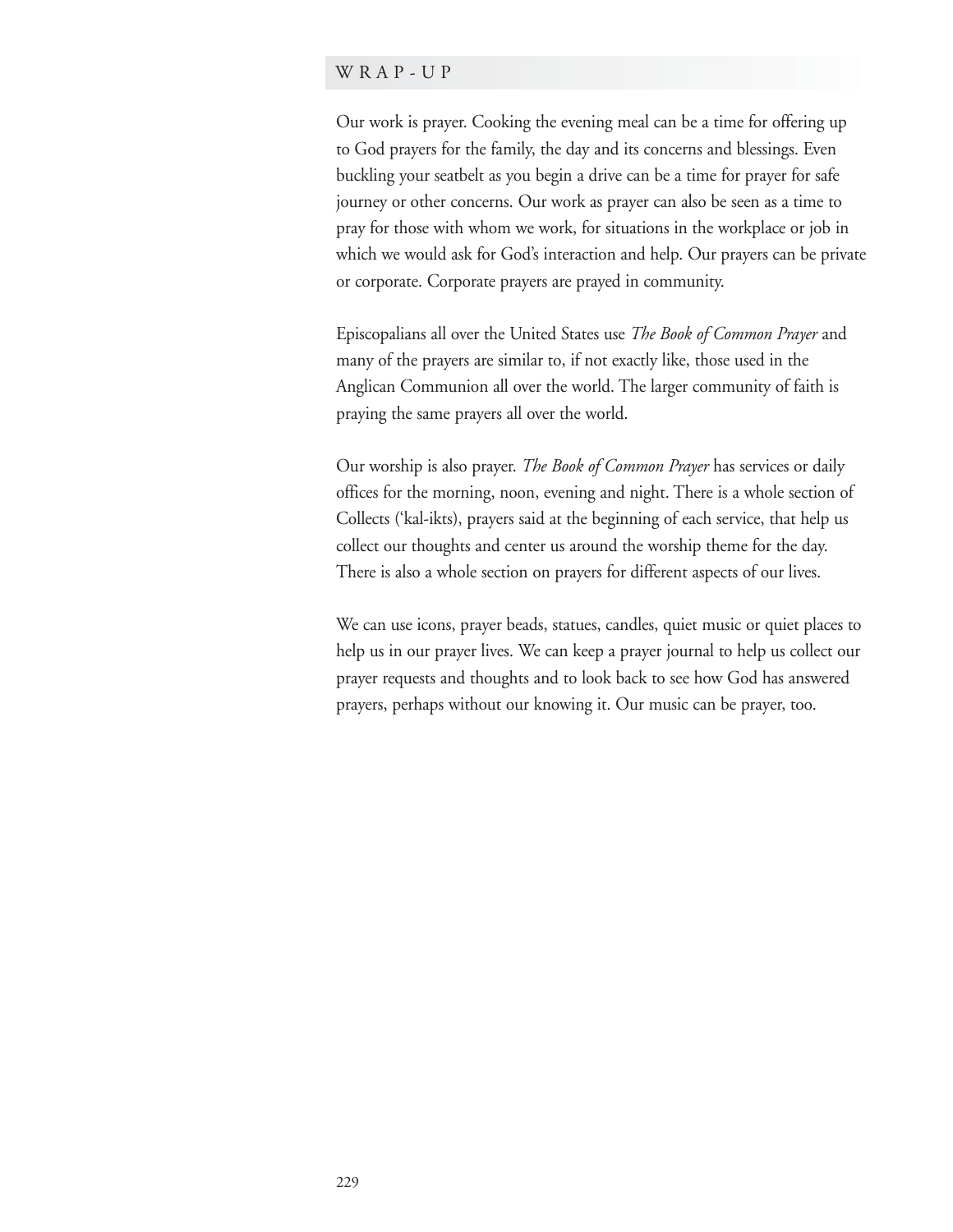### WRAP-UP

Our work is prayer. Cooking the evening meal can be a time for offering up to God prayers for the family, the day and its concerns and blessings. Even buckling your seatbelt as you begin a drive can be a time for prayer for safe journey or other concerns. Our work as prayer can also be seen as a time to pray for those with whom we work, for situations in the workplace or job in which we would ask for God's interaction and help. Our prayers can be private or corporate. Corporate prayers are prayed in community.

Episcopalians all over the United States use *The Book of Common Prayer* and many of the prayers are similar to, if not exactly like, those used in the Anglican Communion all over the world. The larger community of faith is praying the same prayers all over the world.

Our worship is also prayer. *The Book of Common Prayer* has services or daily offices for the morning, noon, evening and night. There is a whole section of Collects ('kal-ikts), prayers said at the beginning of each service, that help us collect our thoughts and center us around the worship theme for the day. There is also a whole section on prayers for different aspects of our lives.

We can use icons, prayer beads, statues, candles, quiet music or quiet places to help us in our prayer lives. We can keep a prayer journal to help us collect our prayer requests and thoughts and to look back to see how God has answered prayers, perhaps without our knowing it. Our music can be prayer, too.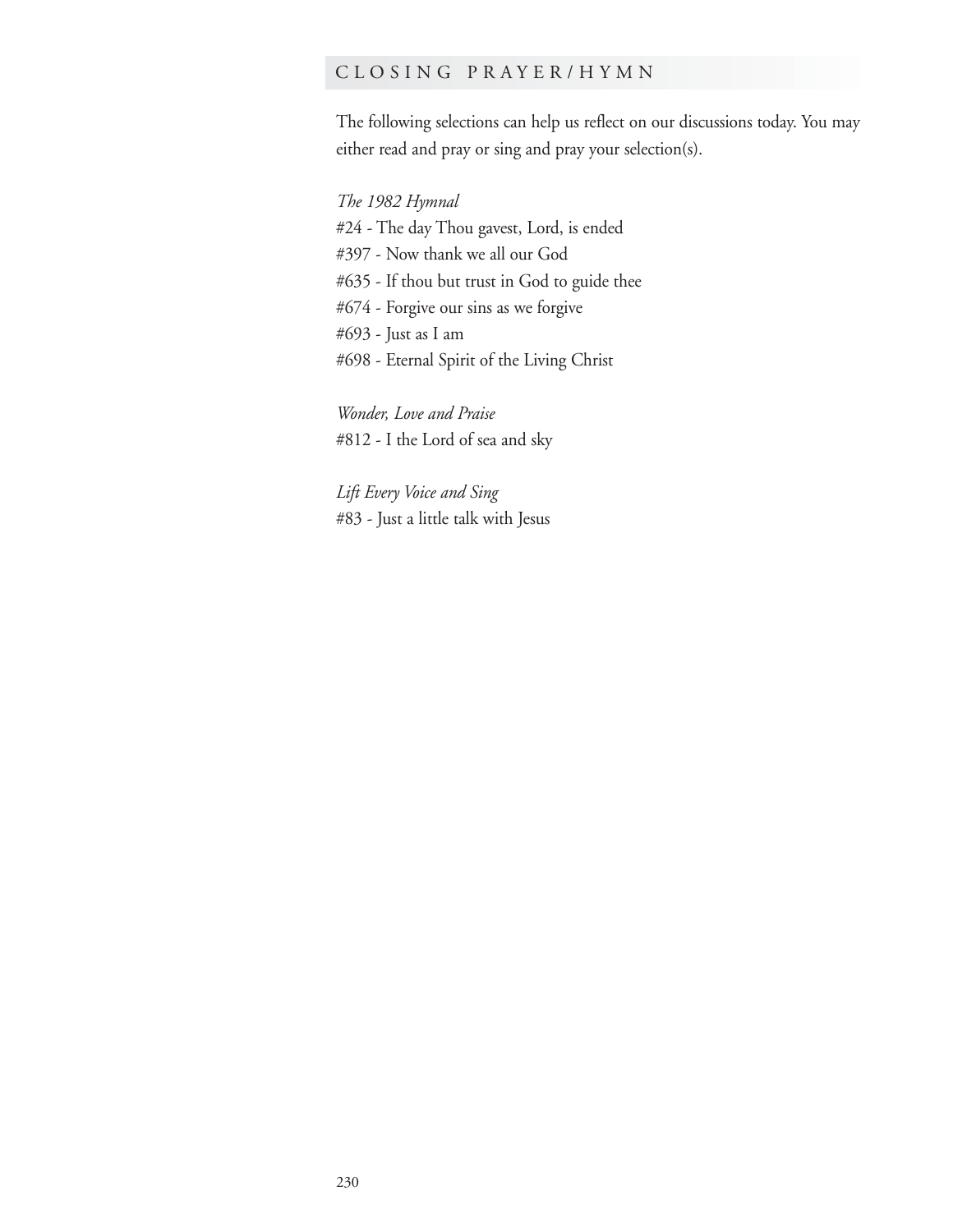## CLOSING PRAYER/HYMN

The following selections can help us reflect on our discussions today. You may either read and pray or sing and pray your selection(s).

*The 1982 Hymnal*  #24 - The day Thou gavest, Lord, is ended #397 - Now thank we all our God #635 - If thou but trust in God to guide thee #674 - Forgive our sins as we forgive #693 - Just as I am #698 - Eternal Spirit of the Living Christ

*Wonder, Love and Praise* #812 - I the Lord of sea and sky

*Lift Every Voice and Sing* #83 - Just a little talk with Jesus